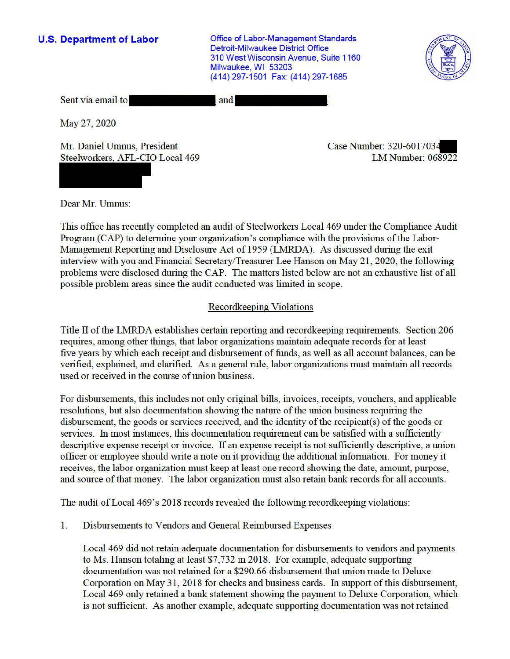**U.S. Department of Labor Conservative Conservation Conservative Conservation Conservation Conservation** Detroit-Milwaukee District Office 310 West Wisconsin Avenue, Suite 1160 Milwaukee, WI 53203 (414) 297-1501 Fax: (414) 297-1685



| Sent via email to | and |
|-------------------|-----|
|                   |     |

May 27, 2020

Mr. Daniel Umnus, President Steelworkers, AFL-CIO Local 469 Case Number: 320-601703. LM Number: 068922

Dear Mr. Umnus:

This office has recently completed an audit of Steelworkers Local 469 under the Compliance Audit Program (CAP) to determine your organization's compliance with the provisions of the Labor-Management Reporting and Disclosure Act of 1959 (LMRDA). As discussed during the exit interview with you and Financial Secretary/Treasurer Lee Hanson on May 21, 2020, the following problems were disclosed during the CAP. The matters listed below are not an exhaustive list of all possible problem areas since the audit conducted was limited in scope.

# Recordkeeping Violations

Title II of the LMRDA establishes certain reporting and recordkeeping requirements. Section 206 requires, among other things, that labor organizations maintain adequate records for at least five years by which each receipt and disbursement of funds, as well as all account balances, can be verified, explained, and clarified. As a general rule, labor organizations must maintain all records used or received in the course of union business.

For disbursements, this includes not only original bills, invoices, receipts, vouchers, and applicable resolutions, but also documentation showing the nature of the union business requiring the disbursement, the goods or services received, and the identity of the recipient(s) of the goods or services. In most instances, this documentation requirement can be satisfied with a sufficiently descriptive expense receipt or invoice. If an expense receipt is not sufficiently descriptive, a union officer or employee should write a note on it providing the additional infonnation. For money it receives, the labor organization must keep at least one record showing the date, amount, purpose, and source ofthat money. The labor organization must also retain bank records for all accounts.

The audit ofLocal 469's 2018 records revealed the following recordkeeping violations:

1. Disbursements to Vendors and General Reimbursed Expenses

Local 469 did not retain adequate documentation for disbursements to vendors and payments to Ms. Hanson totaling at least \$7,732 in 2018. For example, adequate supporting documentation was not retained for a \$290.66 disbursement that union made to Deluxe Corporation on May 31, 2018 for checks and business cards. In support of this disbursement, Local 469 only retained a bank statement showing the payment to Deluxe Corporation, which is not sufficient. As another example, adequate supporting documentation was not retained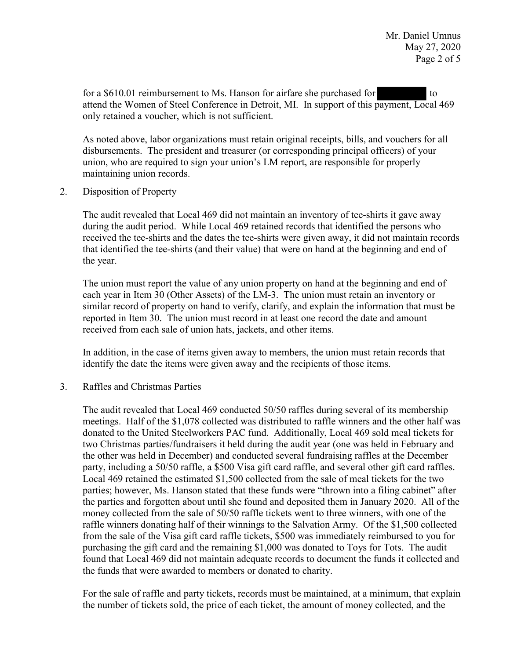-<br>baym for a \$610.01 reimbursement to Ms. Hanson for airfare she purchased for to to attend the Women of Steel Conference in Detroit, MI. In support of this payment, Local 469 only retained a voucher, which is not sufficient.

As noted above, labor organizations must retain original receipts, bills, and vouchers for all disbursements. The president and treasurer (or corresponding principal officers) of your union, who are required to sign your union's LM report, are responsible for properly maintaining union records.

2. Disposition of Property

The audit revealed that Local 469 did not maintain an inventory of tee-shirts it gave away during the audit period. While Local 469 retained records that identified the persons who received the tee-shirts and the dates the tee-shirts were given away, it did not maintain records that identified the tee-shirts (and their value) that were on hand at the beginning and end of the year.

The union must report the value of any union property on hand at the beginning and end of each year in Item 30 (Other Assets) of the LM-3. The union must retain an inventory or similar record of property on hand to verify, clarify, and explain the information that must be reported in Item 30. The union must record in at least one record the date and amount received from each sale of union hats, jackets, and other items.

In addition, in the case of items given away to members, the union must retain records that identify the date the items were given away and the recipients of those items.

3. Raffles and Christmas Parties

The audit revealed that Local 469 conducted 50/50 raffles during several of its membership meetings. Half of the \$1,078 collected was distributed to raffle winners and the other half was donated to the United Steelworkers PAC fund. Additionally, Local 469 sold meal tickets for two Christmas parties/fundraisers it held during the audit year (one was held in February and the other was held in December) and conducted several fundraising raffles at the December party, including a 50/50 raffle, a \$500 Visa gift card raffle, and several other gift card raffles. Local 469 retained the estimated \$1,500 collected from the sale of meal tickets for the two parties; however, Ms. Hanson stated that these funds were "thrown into a filing cabinet" after the parties and forgotten about until she found and deposited them in January 2020. All of the money collected from the sale of 50/50 raffle tickets went to three winners, with one of the raffle winners donating half of their winnings to the Salvation Army. Of the \$1,500 collected from the sale of the Visa gift card raffle tickets, \$500 was immediately reimbursed to you for purchasing the gift card and the remaining \$1,000 was donated to Toys for Tots. The audit found that Local 469 did not maintain adequate records to document the funds it collected and the funds that were awarded to members or donated to charity.

For the sale of raffle and party tickets, records must be maintained, at a minimum, that explain the number of tickets sold, the price of each ticket, the amount of money collected, and the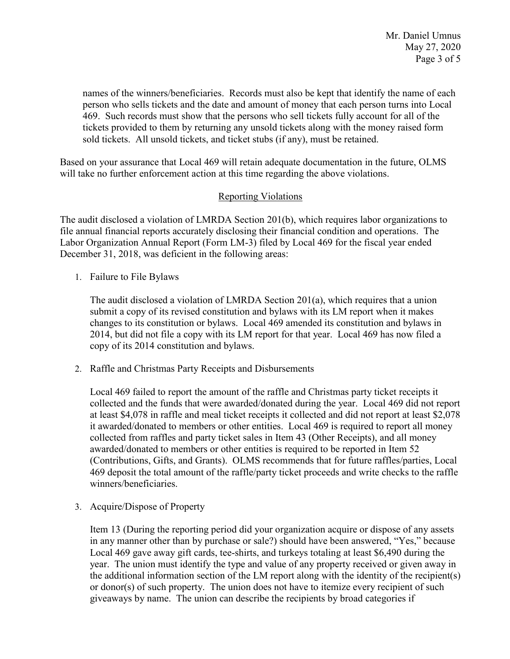names of the winners/beneficiaries. Records must also be kept that identify the name of each person who sells tickets and the date and amount of money that each person turns into Local 469. Such records must show that the persons who sell tickets fully account for all of the tickets provided to them by returning any unsold tickets along with the money raised form sold tickets. All unsold tickets, and ticket stubs (if any), must be retained.

Based on your assurance that Local 469 will retain adequate documentation in the future, OLMS will take no further enforcement action at this time regarding the above violations.

## Reporting Violations

The audit disclosed a violation of LMRDA Section 201(b), which requires labor organizations to file annual financial reports accurately disclosing their financial condition and operations. The Labor Organization Annual Report (Form LM-3) filed by Local 469 for the fiscal year ended December 31, 2018, was deficient in the following areas:

1. Failure to File Bylaws

The audit disclosed a violation of LMRDA Section 201(a), which requires that a union submit a copy of its revised constitution and bylaws with its LM report when it makes changes to its constitution or bylaws. Local 469 amended its constitution and bylaws in 2014, but did not file a copy with its LM report for that year. Local 469 has now filed a copy of its 2014 constitution and bylaws.

2. Raffle and Christmas Party Receipts and Disbursements

Local 469 failed to report the amount of the raffle and Christmas party ticket receipts it collected and the funds that were awarded/donated during the year. Local 469 did not report at least \$4,078 in raffle and meal ticket receipts it collected and did not report at least \$2,078 it awarded/donated to members or other entities. Local 469 is required to report all money collected from raffles and party ticket sales in Item 43 (Other Receipts), and all money awarded/donated to members or other entities is required to be reported in Item 52 (Contributions, Gifts, and Grants). OLMS recommends that for future raffles/parties, Local 469 deposit the total amount of the raffle/party ticket proceeds and write checks to the raffle winners/beneficiaries.

3. Acquire/Dispose of Property

Item 13 (During the reporting period did your organization acquire or dispose of any assets in any manner other than by purchase or sale?) should have been answered, "Yes," because Local 469 gave away gift cards, tee-shirts, and turkeys totaling at least \$6,490 during the year. The union must identify the type and value of any property received or given away in the additional information section of the LM report along with the identity of the recipient(s) or donor(s) of such property. The union does not have to itemize every recipient of such giveaways by name. The union can describe the recipients by broad categories if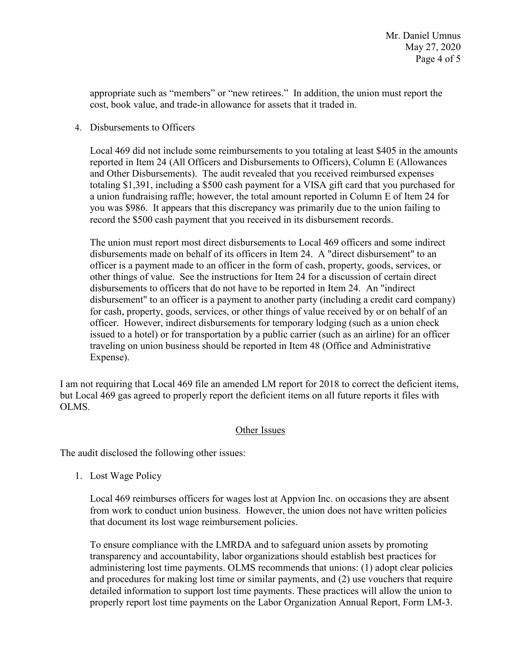appropriate such as "members" or "new retirees." In addition, the union must report the cost, book value, and trade-in allowance for assets that it traded in.

#### 4. Disbursements to Officers

Local 469 did not include some reimbursements to you totaling at least \$405 in the amounts reported in Item 24 (All Officers and Disbursements to Officers), Column E (Allowances and Other Disbursements). The audit revealed that you received reimbursed expenses totaling \$1,391, including a \$500 cash payment for a VISA gift card that you purchased for a union fundraising raffle; however, the total amount reported in Column E of Item 24 for you was \$986. It appears that this discrepancy was primarily due to the union failing to record the \$500 cash payment that you received in its disbursement records.

The union must report most direct disbursements to Local 469 officers and some indirect disbursements made on behalf of its officers in Item 24. A "direct disbursement" to an officer is a payment made to an officer in the form of cash, property, goods, services, or other things of value. See the instructions for Item 24 for a discussion of certain direct disbursements to officers that do not have to be reported in Item 24. An "indirect disbursement" to an officer is a payment to another party (including a credit card company) for cash, property, goods, services, or other things of value received by or on behalf of an officer. However, indirect disbursements for temporary lodging (such as a union check issued to a hotel) or for transportation by a public carrier (such as an airline) for an officer traveling on union business should be reported in Item 48 (Office and Administrative Expense).

I am not requiring that Local 469 file an amended LM report for 2018 to correct the deficient items, but Local 469 gas agreed to properly report the deficient items on all future reports it files with OLMS.

## Other Issues

The audit disclosed the following other issues:

1. Lost Wage Policy

Local 469 reimburses officers for wages lost at Appvion Inc. on occasions they are absent from work to conduct union business. However, the union does not have written policies that document its lost wage reimbursement policies.

To ensure compliance with the LMRDA and to safeguard union assets by promoting transparency and accountability, labor organizations should establish best practices for administering lost time payments. OLMS recommends that unions: (1) adopt clear policies and procedures for making lost time or similar payments, and (2) use vouchers that require detailed information to support lost time payments. These practices will allow the union to properly report lost time payments on the Labor Organization Annual Report, Form LM-3.